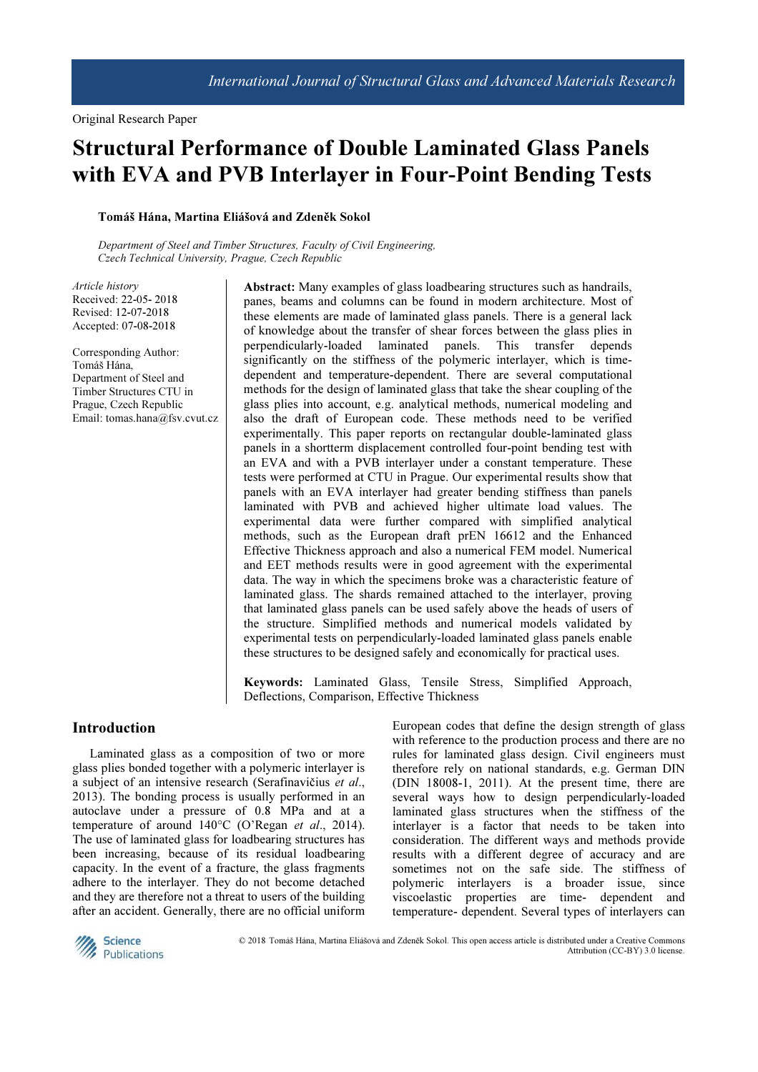# Structural Performance of Double Laminated Glass Panels with EVA and PVB Interlayer in Four-Point Bending Tests

# Tomáš Hána, Martina Eliášová and Zdeněk Sokol

Department of Steel and Timber Structures, Faculty of Civil Engineering, Czech Technical University, Prague, Czech Republic

Article history Received: 22-05- 2018 Revised: 12-07-2018 Accepted: 07-08-2018

Corresponding Author: Tomáš Hána, Department of Steel and Timber Structures CTU in Prague, Czech Republic Email: tomas.hana@fsv.cvut.cz

Abstract: Many examples of glass loadbearing structures such as handrails, panes, beams and columns can be found in modern architecture. Most of these elements are made of laminated glass panels. There is a general lack of knowledge about the transfer of shear forces between the glass plies in perpendicularly-loaded laminated panels. This transfer depends significantly on the stiffness of the polymeric interlayer, which is timedependent and temperature-dependent. There are several computational methods for the design of laminated glass that take the shear coupling of the glass plies into account, e.g. analytical methods, numerical modeling and also the draft of European code. These methods need to be verified experimentally. This paper reports on rectangular double-laminated glass panels in a shortterm displacement controlled four-point bending test with an EVA and with a PVB interlayer under a constant temperature. These tests were performed at CTU in Prague. Our experimental results show that panels with an EVA interlayer had greater bending stiffness than panels laminated with PVB and achieved higher ultimate load values. The experimental data were further compared with simplified analytical methods, such as the European draft prEN 16612 and the Enhanced Effective Thickness approach and also a numerical FEM model. Numerical and EET methods results were in good agreement with the experimental data. The way in which the specimens broke was a characteristic feature of laminated glass. The shards remained attached to the interlayer, proving that laminated glass panels can be used safely above the heads of users of the structure. Simplified methods and numerical models validated by experimental tests on perpendicularly-loaded laminated glass panels enable these structures to be designed safely and economically for practical uses.

Keywords: Laminated Glass, Tensile Stress, Simplified Approach, Deflections, Comparison, Effective Thickness

#### Introduction

Laminated glass as a composition of two or more glass plies bonded together with a polymeric interlayer is a subject of an intensive research (Serafinavičius et al., 2013). The bonding process is usually performed in an autoclave under a pressure of 0.8 MPa and at a temperature of around 140°C (O'Regan et al., 2014). The use of laminated glass for loadbearing structures has been increasing, because of its residual loadbearing capacity. In the event of a fracture, the glass fragments adhere to the interlayer. They do not become detached and they are therefore not a threat to users of the building after an accident. Generally, there are no official uniform European codes that define the design strength of glass with reference to the production process and there are no rules for laminated glass design. Civil engineers must therefore rely on national standards, e.g. German DIN (DIN 18008-1, 2011). At the present time, there are several ways how to design perpendicularly-loaded laminated glass structures when the stiffness of the interlayer is a factor that needs to be taken into consideration. The different ways and methods provide results with a different degree of accuracy and are sometimes not on the safe side. The stiffness of polymeric interlayers is a broader issue, since viscoelastic properties are time- dependent and temperature- dependent. Several types of interlayers can



 © 2018 Tomáš Hána, Martina Eliášová and Zdeněk Sokol. This open access article is distributed under a Creative Commons Attribution (CC-BY) 3.0 license.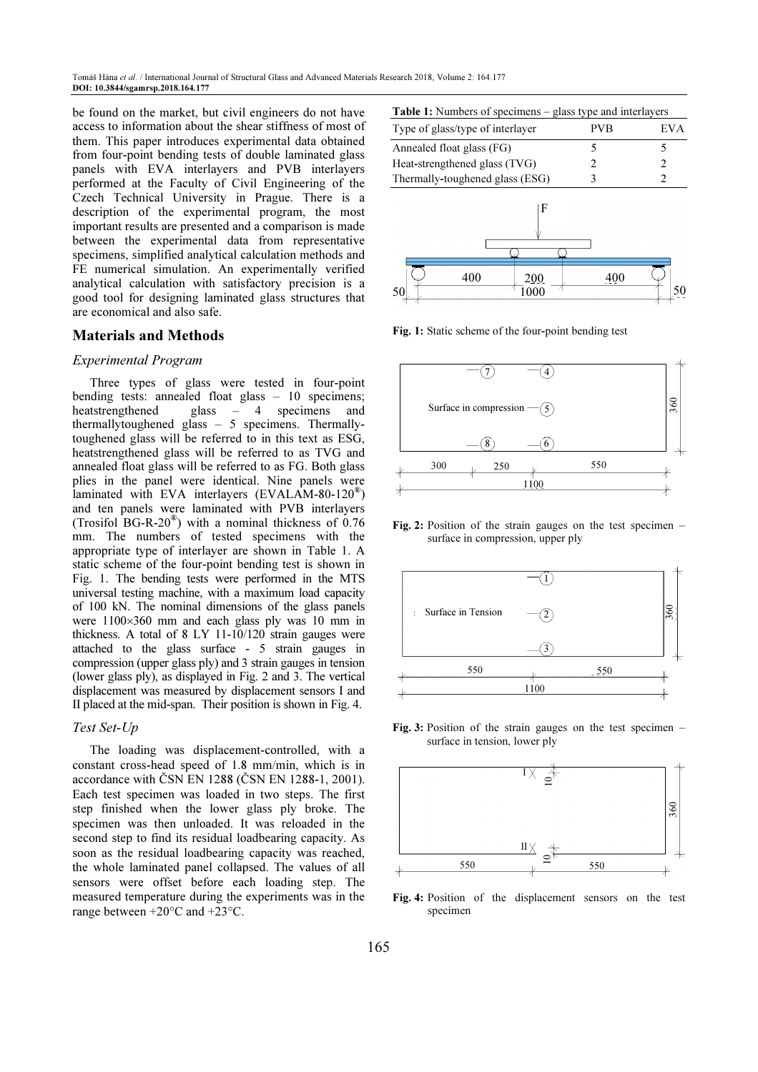be found on the market, but civil engineers do not have access to information about the shear stiffness of most of them. This paper introduces experimental data obtained from four-point bending tests of double laminated glass panels with EVA interlayers and PVB interlayers performed at the Faculty of Civil Engineering of the Czech Technical University in Prague. There is a description of the experimental program, the most important results are presented and a comparison is made between the experimental data from representative specimens, simplified analytical calculation methods and FE numerical simulation. An experimentally verified analytical calculation with satisfactory precision is a good tool for designing laminated glass structures that are economical and also safe.

#### Materials and Methods

#### Experimental Program

Three types of glass were tested in four-point bending tests: annealed float glass – 10 specimens; heatstrengthened glass – 4 specimens and thermallytoughened glass – 5 specimens. Thermallytoughened glass will be referred to in this text as ESG, heatstrengthened glass will be referred to as TVG and annealed float glass will be referred to as FG. Both glass plies in the panel were identical. Nine panels were laminated with EVA interlayers (EVALAM-80-120<sup>®</sup>) and ten panels were laminated with PVB interlayers (Trosifol BG-R-20 $^{\circ}$ ) with a nominal thickness of 0.76 mm. The numbers of tested specimens with the appropriate type of interlayer are shown in Table 1. A static scheme of the four-point bending test is shown in Fig. 1. The bending tests were performed in the MTS universal testing machine, with a maximum load capacity of 100 kN. The nominal dimensions of the glass panels were 1100×360 mm and each glass ply was 10 mm in thickness. A total of 8 LY 11-10/120 strain gauges were attached to the glass surface - 5 strain gauges in compression (upper glass ply) and 3 strain gauges in tension (lower glass ply), as displayed in Fig. 2 and 3. The vertical displacement was measured by displacement sensors I and II placed at the mid-span. Their position is shown in Fig. 4.

#### Test Set-Up

The loading was displacement-controlled, with a constant cross-head speed of 1.8 mm/min, which is in accordance with ČSN EN 1288 (ČSN EN 1288-1, 2001). Each test specimen was loaded in two steps. The first step finished when the lower glass ply broke. The specimen was then unloaded. It was reloaded in the second step to find its residual loadbearing capacity. As soon as the residual loadbearing capacity was reached, the whole laminated panel collapsed. The values of all sensors were offset before each loading step. The measured temperature during the experiments was in the range between +20°C and +23°C.

| <b>Table 1:</b> Numbers of specimens – glass type and interlayers |
|-------------------------------------------------------------------|
|-------------------------------------------------------------------|

| Type of glass/type of interlayer | PVB | EV A |
|----------------------------------|-----|------|
| Annealed float glass (FG)        |     |      |
| Heat-strengthened glass (TVG)    |     |      |
| Thermally-toughened glass (ESG)  |     |      |
|                                  |     |      |
|                                  |     |      |



Fig. 1: Static scheme of the four-point bending test



Fig. 2: Position of the strain gauges on the test specimen – surface in compression, upper ply



Fig. 3: Position of the strain gauges on the test specimen – surface in tension, lower ply



Fig. 4: Position of the displacement sensors on the test specimen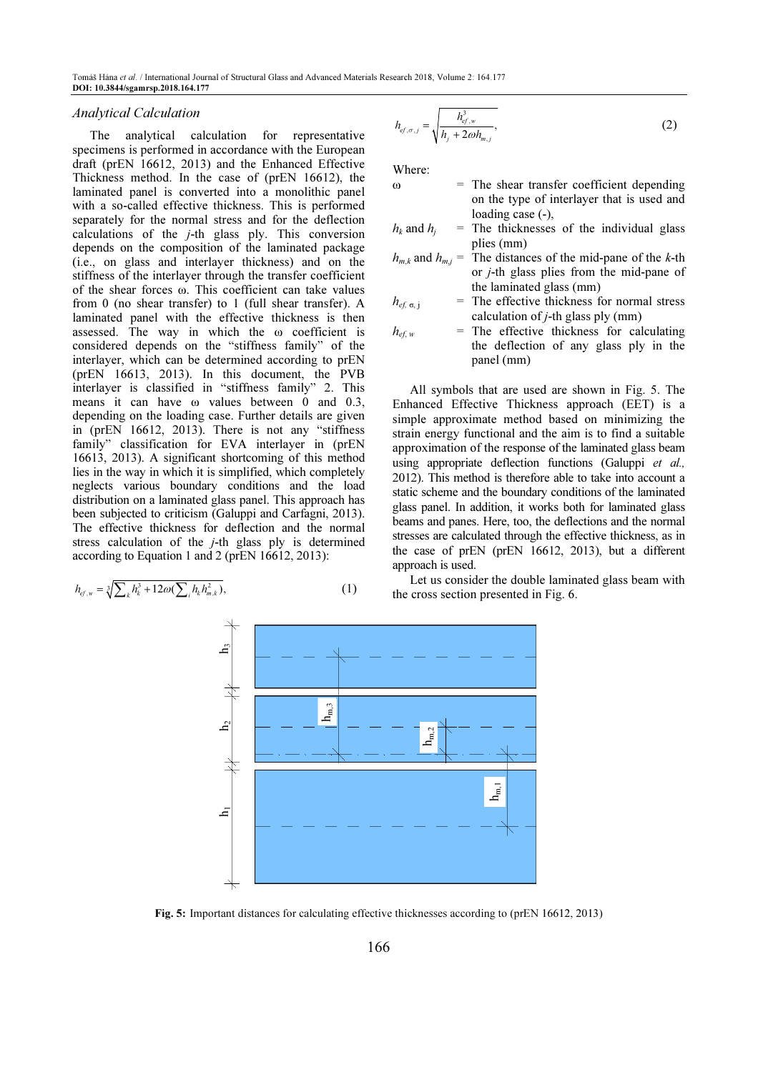#### Analytical Calculation

The analytical calculation for representative specimens is performed in accordance with the European draft (prEN 16612, 2013) and the Enhanced Effective Thickness method. In the case of (prEN 16612), the laminated panel is converted into a monolithic panel with a so-called effective thickness. This is performed separately for the normal stress and for the deflection calculations of the j-th glass ply. This conversion depends on the composition of the laminated package (i.e., on glass and interlayer thickness) and on the stiffness of the interlayer through the transfer coefficient of the shear forces ω. This coefficient can take values from 0 (no shear transfer) to 1 (full shear transfer). A laminated panel with the effective thickness is then assessed. The way in which the ω coefficient is considered depends on the "stiffness family" of the interlayer, which can be determined according to prEN (prEN 16613, 2013). In this document, the PVB interlayer is classified in "stiffness family" 2. This means it can have ω values between 0 and 0.3, depending on the loading case. Further details are given in (prEN 16612, 2013). There is not any "stiffness family" classification for EVA interlayer in (prEN 16613, 2013). A significant shortcoming of this method lies in the way in which it is simplified, which completely neglects various boundary conditions and the load distribution on a laminated glass panel. This approach has been subjected to criticism (Galuppi and Carfagni, 2013). The effective thickness for deflection and the normal stress calculation of the  $j$ -th glass ply is determined according to Equation 1 and 2 (prEN 16612, 2013):

$$
h_{e f, w} = \sqrt[3]{\sum_{k} h_k^3 + 12\omega(\sum_{i} h_k h_{m,k}^2)},
$$
\n(1)

$$
h_{ef,\sigma,j} = \sqrt{\frac{h_{ef,w}^3}{h_j + 2\omega h_{m,j}}},
$$
\n(2)

Where:

- $\omega$  = The shear transfer coefficient depending on the type of interlayer that is used and loading case (-),
- $h_k$  and  $h_j$ The thicknesses of the individual glass plies (mm)
- $h_{m,k}$  and  $h_{m,j}$ The distances of the mid-pane of the  $k$ -th or j-th glass plies from the mid-pane of the laminated glass (mm)
- $h_{\text{eff}}$  = The effective thickness for normal stress calculation of  $j$ -th glass ply (mm)
- $h_{\text{eff w}}$  = The effective thickness for calculating the deflection of any glass ply in the panel (mm)

All symbols that are used are shown in Fig. 5. The Enhanced Effective Thickness approach (EET) is a simple approximate method based on minimizing the strain energy functional and the aim is to find a suitable approximation of the response of the laminated glass beam using appropriate deflection functions (Galuppi et al., 2012). This method is therefore able to take into account a static scheme and the boundary conditions of the laminated glass panel. In addition, it works both for laminated glass beams and panes. Here, too, the deflections and the normal stresses are calculated through the effective thickness, as in the case of prEN (prEN 16612, 2013), but a different approach is used.

Let us consider the double laminated glass beam with the cross section presented in Fig. 6.



Fig. 5: Important distances for calculating effective thicknesses according to (prEN 16612, 2013)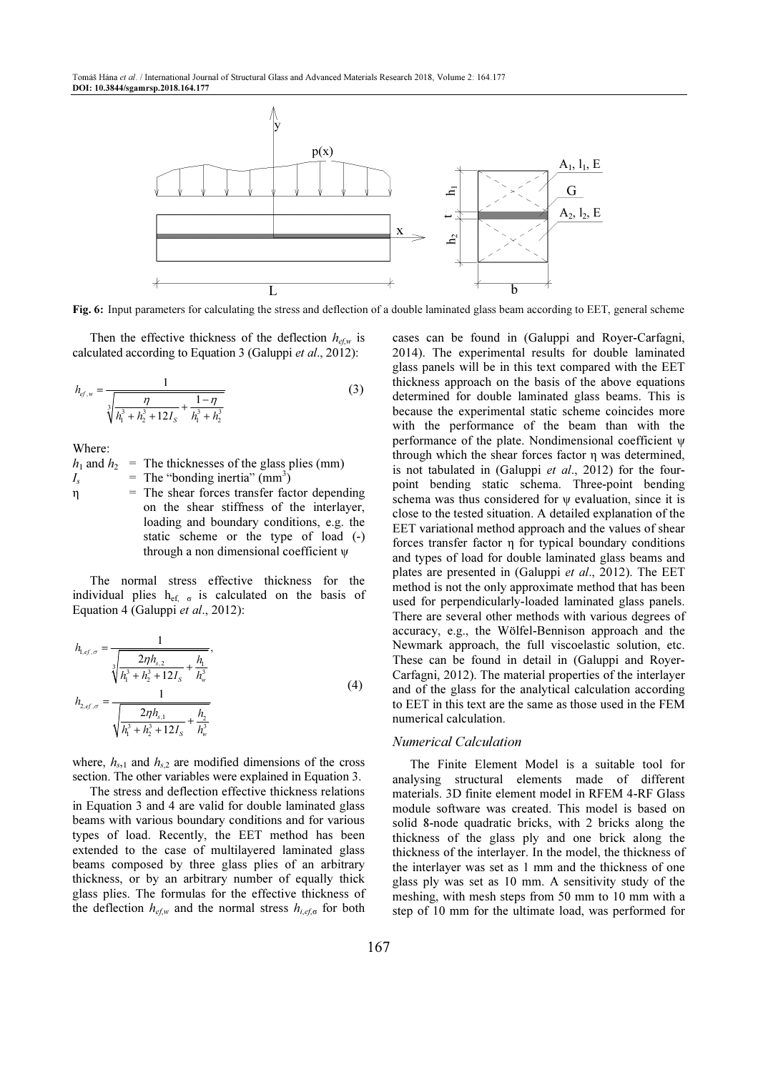Tomáš Hána et al. / International Journal of Structural Glass and Advanced Materials Research 2018, Volume 2: 164.177 DOI: 10.3844/sgamrsp.2018.164.177



Fig. 6: Input parameters for calculating the stress and deflection of a double laminated glass beam according to EET, general scheme

Then the effective thickness of the deflection  $h_{\epsilon f,w}$  is calculated according to Equation 3 (Galuppi et al., 2012):

$$
h_{ef,w} = \frac{1}{\sqrt[3]{\frac{\eta}{h_1^3 + h_2^3 + 12I_s} + \frac{1 - \eta}{h_1^3 + h_2^3}}}
$$
(3)

Where:

 $h_1$  and  $h_2$  = The thicknesses of the glass plies (mm)  $I_{s}$  $=$  The "bonding inertia" (mm<sup>3</sup>) η = The shear forces transfer factor depending on the shear stiffness of the interlayer, loading and boundary conditions, e.g. the static scheme or the type of load (-) through a non dimensional coefficient ψ

The normal stress effective thickness for the individual plies  $h_{\text{ef}}$   $\sigma$  is calculated on the basis of Equation 4 (Galuppi et al., 2012):

$$
h_{1,ef,\sigma} = \frac{1}{\sqrt[3]{\frac{2\eta h_{s,2}}{h_1^3 + h_2^3 + 12I_s} + \frac{h_1}{h_w^3}}},
$$
  
\n
$$
h_{2,ef,\sigma} = \frac{1}{\sqrt{\frac{2\eta h_{s,1}}{h_1^3 + h_2^3 + 12I_s} + \frac{h_2}{h_w^3}}}
$$
\n(4)

where,  $h_{s,1}$  and  $h_{s,2}$  are modified dimensions of the cross section. The other variables were explained in Equation 3.

The stress and deflection effective thickness relations in Equation 3 and 4 are valid for double laminated glass beams with various boundary conditions and for various types of load. Recently, the EET method has been extended to the case of multilayered laminated glass beams composed by three glass plies of an arbitrary thickness, or by an arbitrary number of equally thick glass plies. The formulas for the effective thickness of the deflection  $h_{ef,w}$  and the normal stress  $h_{i,ef,\sigma}$  for both cases can be found in (Galuppi and Royer-Carfagni, 2014). The experimental results for double laminated glass panels will be in this text compared with the EET thickness approach on the basis of the above equations determined for double laminated glass beams. This is because the experimental static scheme coincides more with the performance of the beam than with the performance of the plate. Nondimensional coefficient ψ through which the shear forces factor η was determined, is not tabulated in (Galuppi *et al.*, 2012) for the fourpoint bending static schema. Three-point bending schema was thus considered for  $\psi$  evaluation, since it is close to the tested situation. A detailed explanation of the EET variational method approach and the values of shear forces transfer factor η for typical boundary conditions and types of load for double laminated glass beams and plates are presented in (Galuppi et al., 2012). The EET method is not the only approximate method that has been used for perpendicularly-loaded laminated glass panels. There are several other methods with various degrees of accuracy, e.g., the Wölfel-Bennison approach and the Newmark approach, the full viscoelastic solution, etc. These can be found in detail in (Galuppi and Royer-Carfagni, 2012). The material properties of the interlayer and of the glass for the analytical calculation according to EET in this text are the same as those used in the FEM numerical calculation.

#### Numerical Calculation

The Finite Element Model is a suitable tool for analysing structural elements made of different materials. 3D finite element model in RFEM 4-RF Glass module software was created. This model is based on solid 8-node quadratic bricks, with 2 bricks along the thickness of the glass ply and one brick along the thickness of the interlayer. In the model, the thickness of the interlayer was set as 1 mm and the thickness of one glass ply was set as 10 mm. A sensitivity study of the meshing, with mesh steps from 50 mm to 10 mm with a step of 10 mm for the ultimate load, was performed for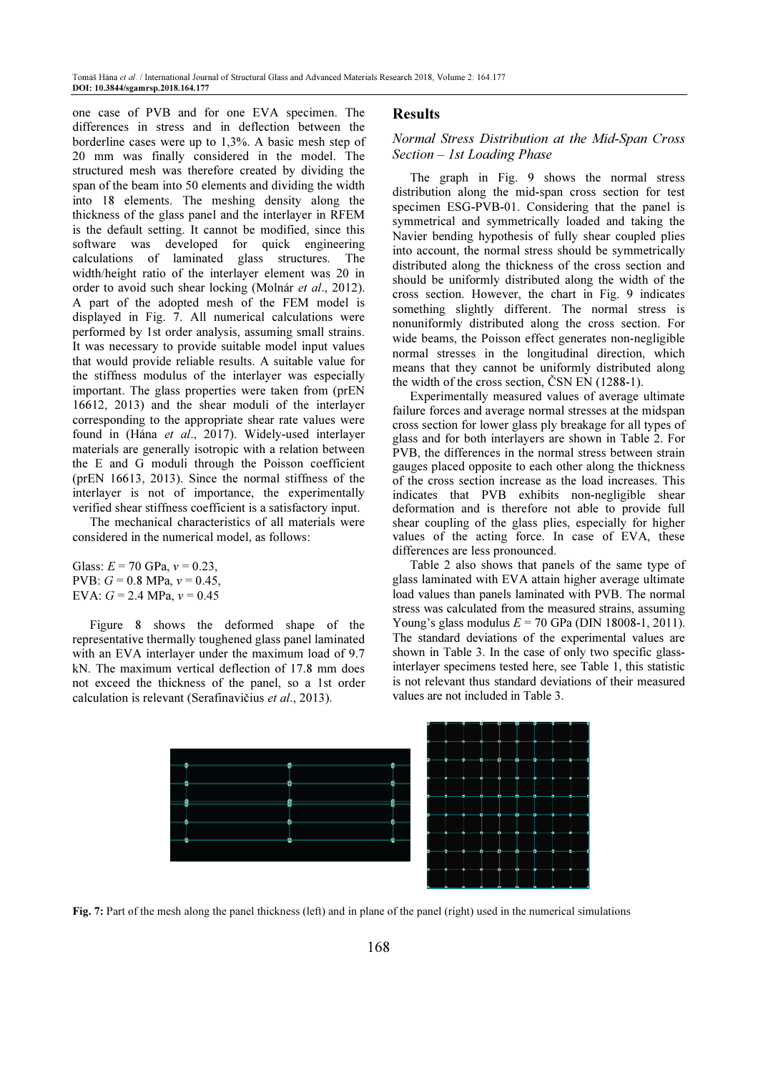one case of PVB and for one EVA specimen. The differences in stress and in deflection between the borderline cases were up to 1,3%. A basic mesh step of 20 mm was finally considered in the model. The structured mesh was therefore created by dividing the span of the beam into 50 elements and dividing the width into 18 elements. The meshing density along the thickness of the glass panel and the interlayer in RFEM is the default setting. It cannot be modified, since this software was developed for quick engineering calculations of laminated glass structures. The width/height ratio of the interlayer element was 20 in order to avoid such shear locking (Molnár et al., 2012). A part of the adopted mesh of the FEM model is displayed in Fig. 7. All numerical calculations were performed by 1st order analysis, assuming small strains. It was necessary to provide suitable model input values that would provide reliable results. A suitable value for the stiffness modulus of the interlayer was especially important. The glass properties were taken from (prEN 16612, 2013) and the shear moduli of the interlayer corresponding to the appropriate shear rate values were found in (Hána et al., 2017). Widely-used interlayer materials are generally isotropic with a relation between the E and G moduli through the Poisson coefficient (prEN 16613, 2013). Since the normal stiffness of the interlayer is not of importance, the experimentally verified shear stiffness coefficient is a satisfactory input.

The mechanical characteristics of all materials were considered in the numerical model, as follows:

Glass:  $E = 70$  GPa,  $v = 0.23$ , PVB:  $G = 0.8$  MPa,  $v = 0.45$ , EVA:  $G = 2.4$  MPa,  $v = 0.45$ 

Figure 8 shows the deformed shape of the representative thermally toughened glass panel laminated with an EVA interlayer under the maximum load of 9.7 kN. The maximum vertical deflection of 17.8 mm does not exceed the thickness of the panel, so a 1st order calculation is relevant (Serafinavičius et al., 2013).

#### **Results**

# Normal Stress Distribution at the Mid-Span Cross Section – 1st Loading Phase

The graph in Fig. 9 shows the normal stress distribution along the mid-span cross section for test specimen ESG-PVB-01. Considering that the panel is symmetrical and symmetrically loaded and taking the Navier bending hypothesis of fully shear coupled plies into account, the normal stress should be symmetrically distributed along the thickness of the cross section and should be uniformly distributed along the width of the cross section. However, the chart in Fig. 9 indicates something slightly different. The normal stress is nonuniformly distributed along the cross section. For wide beams, the Poisson effect generates non-negligible normal stresses in the longitudinal direction, which means that they cannot be uniformly distributed along the width of the cross section, ČSN EN (1288-1).

Experimentally measured values of average ultimate failure forces and average normal stresses at the midspan cross section for lower glass ply breakage for all types of glass and for both interlayers are shown in Table 2. For PVB, the differences in the normal stress between strain gauges placed opposite to each other along the thickness of the cross section increase as the load increases. This indicates that PVB exhibits non-negligible shear deformation and is therefore not able to provide full shear coupling of the glass plies, especially for higher values of the acting force. In case of EVA, these differences are less pronounced.

Table 2 also shows that panels of the same type of glass laminated with EVA attain higher average ultimate load values than panels laminated with PVB. The normal stress was calculated from the measured strains, assuming Young's glass modulus  $E = 70$  GPa (DIN 18008-1, 2011). The standard deviations of the experimental values are shown in Table 3. In the case of only two specific glassinterlayer specimens tested here, see Table 1, this statistic is not relevant thus standard deviations of their measured values are not included in Table 3.



Fig. 7: Part of the mesh along the panel thickness (left) and in plane of the panel (right) used in the numerical simulations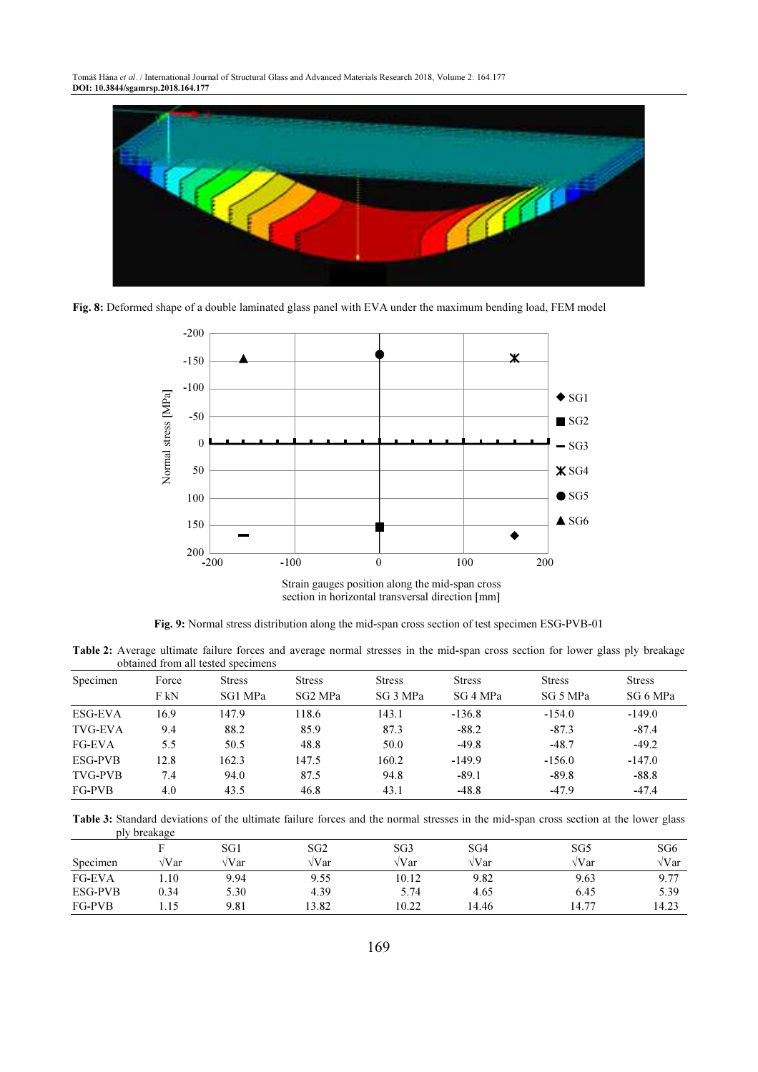Tomáš Hána et al. / International Journal of Structural Glass and Advanced Materials Research 2018, Volume 2: 164.177 DOI: 10.3844/sgamrsp.2018.164.177



Fig. 8: Deformed shape of a double laminated glass panel with EVA under the maximum bending load, FEM model



Fig. 9: Normal stress distribution along the mid-span cross section of test specimen ESG-PVB-01

Table 2: Average ultimate failure forces and average normal stresses in the mid-span cross section for lower glass ply breakage obtained from all tested specimens

| Specimen       | Force | <b>Stress</b> | <b>Stress</b> | <b>Stress</b> | <b>Stress</b> | <b>Stress</b> | <b>Stress</b> |
|----------------|-------|---------------|---------------|---------------|---------------|---------------|---------------|
|                | F kN  | SG1 MPa       | SG2 MPa       | SG 3 MPa      | SG 4 MPa      | SG 5 MPa      | SG 6 MPa      |
| ESG-EVA        | 16.9  | 147.9         | 118.6         | 143.1         | $-136.8$      | $-154.0$      | $-149.0$      |
| TVG-EVA        | 9.4   | 88.2          | 85.9          | 87.3          | $-88.2$       | $-87.3$       | $-87.4$       |
| <b>FG-EVA</b>  | 5.5   | 50.5          | 48.8          | 50.0          | $-49.8$       | $-48.7$       | $-49.2$       |
| <b>ESG-PVB</b> | 12.8  | 162.3         | 147.5         | 160.2         | $-149.9$      | $-156.0$      | $-147.0$      |
| <b>TVG-PVB</b> | 7.4   | 94.0          | 87.5          | 94.8          | $-89.1$       | $-89.8$       | $-88.8$       |
| <b>FG-PVB</b>  | 4.0   | 43.5          | 46.8          | 43.1          | $-48.8$       | $-47.9$       | $-47.4$       |

Table 3: Standard deviations of the ultimate failure forces and the normal stresses in the mid-span cross section at the lower glass ply breakage

|               |        | SG1          | SG2   | SG3          | SG4          | SG5   | SG6          |
|---------------|--------|--------------|-------|--------------|--------------|-------|--------------|
| Specimen      | √Var   | $\sqrt{Var}$ | √Var  | $\sqrt{Var}$ | $\sqrt{Var}$ | √Var  | $\sqrt{Var}$ |
| <b>FG-EVA</b> | . . 10 | 9.94         | 9.55  | 10.12        | 9.82         | 9.63  | 9.77         |
| ESG-PVB       | 0.34   | 5.30         | 4.39  | 5.74         | 4.65         | 6.45  | 5.39         |
| FG-PVB        | 1.15   | 9.81         | 13.82 | 10.22        | 14.46        | 14.77 | 14.23        |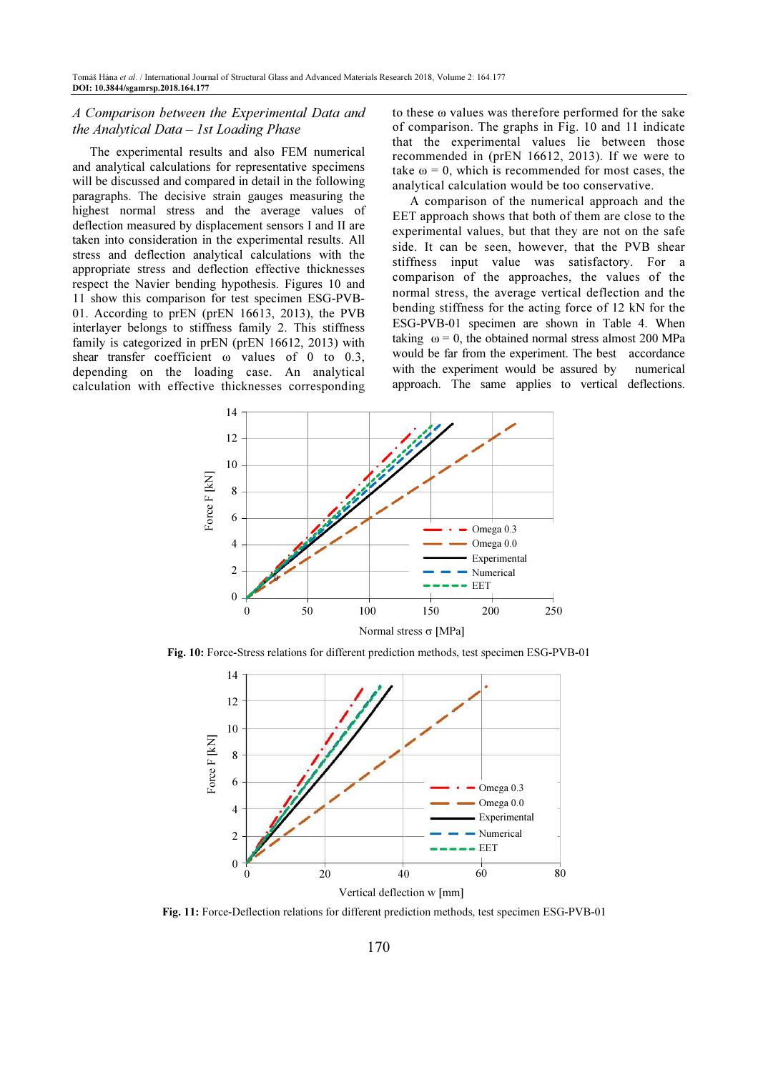# A Comparison between the Experimental Data and the Analytical Data – 1st Loading Phase

The experimental results and also FEM numerical and analytical calculations for representative specimens will be discussed and compared in detail in the following paragraphs. The decisive strain gauges measuring the highest normal stress and the average values of deflection measured by displacement sensors I and II are taken into consideration in the experimental results. All stress and deflection analytical calculations with the appropriate stress and deflection effective thicknesses respect the Navier bending hypothesis. Figures 10 and 11 show this comparison for test specimen ESG-PVB-01. According to prEN (prEN 16613, 2013), the PVB interlayer belongs to stiffness family 2. This stiffness family is categorized in prEN (prEN 16612, 2013) with shear transfer coefficient ω values of 0 to 0.3, depending on the loading case. An analytical calculation with effective thicknesses corresponding to these ω values was therefore performed for the sake of comparison. The graphs in Fig. 10 and 11 indicate that the experimental values lie between those recommended in (prEN 16612, 2013). If we were to take  $\omega = 0$ , which is recommended for most cases, the analytical calculation would be too conservative.

A comparison of the numerical approach and the EET approach shows that both of them are close to the experimental values, but that they are not on the safe side. It can be seen, however, that the PVB shear stiffness input value was satisfactory. For a comparison of the approaches, the values of the normal stress, the average vertical deflection and the bending stiffness for the acting force of 12 kN for the ESG-PVB-01 specimen are shown in Table 4. When taking  $\omega = 0$ , the obtained normal stress almost 200 MPa would be far from the experiment. The best accordance with the experiment would be assured by numerical approach. The same applies to vertical deflections.



Fig. 10: Force-Stress relations for different prediction methods, test specimen ESG-PVB-01

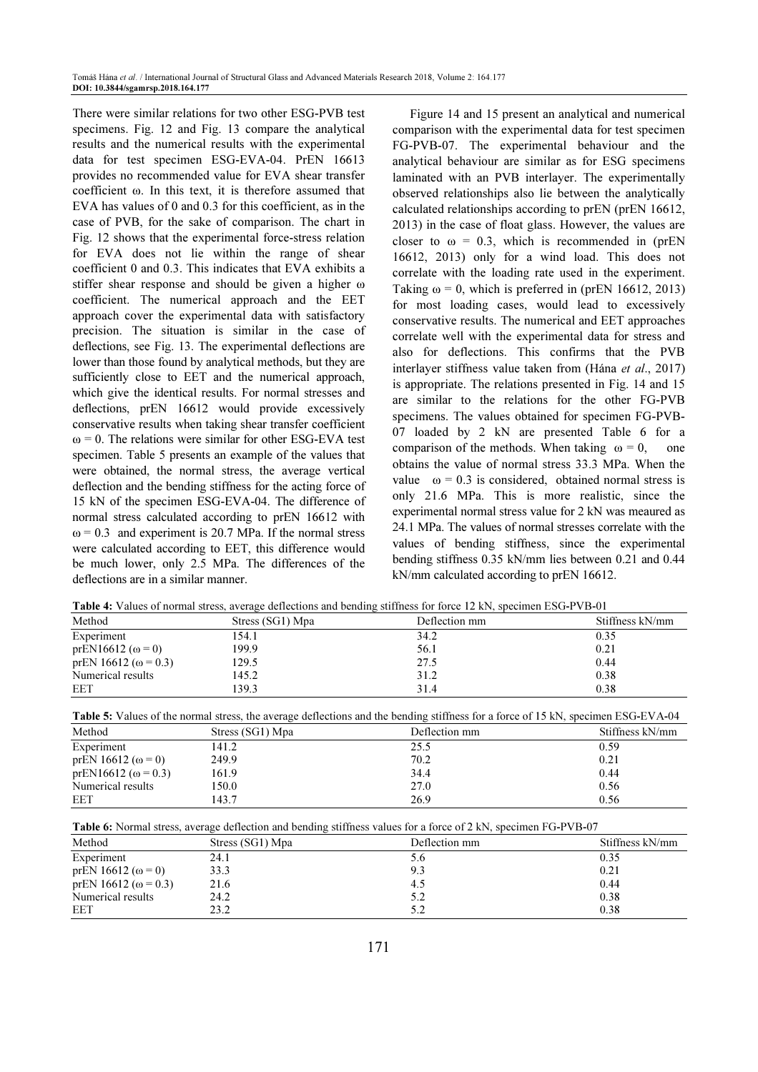There were similar relations for two other ESG-PVB test specimens. Fig. 12 and Fig. 13 compare the analytical results and the numerical results with the experimental data for test specimen ESG-EVA-04. PrEN 16613 provides no recommended value for EVA shear transfer coefficient ω. In this text, it is therefore assumed that EVA has values of 0 and 0.3 for this coefficient, as in the case of PVB, for the sake of comparison. The chart in Fig. 12 shows that the experimental force-stress relation for EVA does not lie within the range of shear coefficient 0 and 0.3. This indicates that EVA exhibits a stiffer shear response and should be given a higher ω coefficient. The numerical approach and the EET approach cover the experimental data with satisfactory precision. The situation is similar in the case of deflections, see Fig. 13. The experimental deflections are lower than those found by analytical methods, but they are sufficiently close to EET and the numerical approach, which give the identical results. For normal stresses and deflections, prEN 16612 would provide excessively conservative results when taking shear transfer coefficient  $\omega$  = 0. The relations were similar for other ESG-EVA test specimen. Table 5 presents an example of the values that were obtained, the normal stress, the average vertical deflection and the bending stiffness for the acting force of 15 kN of the specimen ESG-EVA-04. The difference of normal stress calculated according to prEN 16612 with  $\omega$  = 0.3 and experiment is 20.7 MPa. If the normal stress were calculated according to EET, this difference would be much lower, only 2.5 MPa. The differences of the deflections are in a similar manner.

Figure 14 and 15 present an analytical and numerical comparison with the experimental data for test specimen FG-PVB-07. The experimental behaviour and the analytical behaviour are similar as for ESG specimens laminated with an PVB interlayer. The experimentally observed relationships also lie between the analytically calculated relationships according to prEN (prEN 16612, 2013) in the case of float glass. However, the values are closer to  $\omega = 0.3$ , which is recommended in (prEN 16612, 2013) only for a wind load. This does not correlate with the loading rate used in the experiment. Taking  $\omega = 0$ , which is preferred in (prEN 16612, 2013) for most loading cases, would lead to excessively conservative results. The numerical and EET approaches correlate well with the experimental data for stress and also for deflections. This confirms that the PVB interlayer stiffness value taken from (Hána et al., 2017) is appropriate. The relations presented in Fig. 14 and 15 are similar to the relations for the other FG-PVB specimens. The values obtained for specimen FG-PVB-07 loaded by 2 kN are presented Table 6 for a comparison of the methods. When taking  $\omega = 0$ , one obtains the value of normal stress 33.3 MPa. When the value  $\omega = 0.3$  is considered, obtained normal stress is only 21.6 MPa. This is more realistic, since the experimental normal stress value for 2 kN was meaured as 24.1 MPa. The values of normal stresses correlate with the values of bending stiffness, since the experimental bending stiffness 0.35 kN/mm lies between 0.21 and 0.44 kN/mm calculated according to prEN 16612.

Table 4: Values of normal stress, average deflections and bending stiffness for force 12 kN, specimen ESG-PVB-01

|                              |                  | <b>THEIR IS A REPORT OF THE REAL PROPERTY OF A REAL PROPERTY OF THE REAL PROPERTY OF A REAL PROPERTY OF A REAL PROPERTY</b> |                 |
|------------------------------|------------------|-----------------------------------------------------------------------------------------------------------------------------|-----------------|
| Method                       | Stress (SG1) Mpa | Deflection mm                                                                                                               | Stiffness kN/mm |
| Experiment                   | 154.1            | 34.2                                                                                                                        | 0.35            |
| prEN16612 ( $ω = 0$ )        | 199.9            | 56.1                                                                                                                        | 0.21            |
| prEN 16612 ( $\omega$ = 0.3) | 129.5            | 27.5                                                                                                                        | 0.44            |
| Numerical results            | 145.2            | 31.2                                                                                                                        | 0.38            |
| EET                          | 139.3            | 31.4                                                                                                                        | 0.38            |

| <b>Table 5:</b> Values of the normal stress, the average deflections and the bending stiffness for a force of 15 kN, specimen ESG-EVA-04 |  |
|------------------------------------------------------------------------------------------------------------------------------------------|--|
|------------------------------------------------------------------------------------------------------------------------------------------|--|

| Method                      | Stress (SG1) Mpa | Deflection mm | Stiffness kN/mm |
|-----------------------------|------------------|---------------|-----------------|
| Experiment                  | 141.2            | 25.5          | 0.59            |
| prEN 16612 ( $\omega$ = 0)  | 249.9            | 70.2          | 0.21            |
| prEN16612 ( $\omega$ = 0.3) | 161.9            | 34.4          | 0.44            |
| Numerical results           | 150.0            | 27.0          | 0.56            |
| EET                         | 143.7            | 26.9          | 0.56            |

Table 6: Normal stress, average deflection and bending stiffness values for a force of 2 kN, specimen FG-PVB-07

| Method                       | Stress (SG1) Mpa | Deflection mm | Stiffness kN/mm |
|------------------------------|------------------|---------------|-----------------|
| Experiment                   | 24.1             | 5.6           | 0.35            |
| prEN 16612 ( $\omega$ = 0)   | 33.3             | 9.3           | 0.21            |
| prEN 16612 ( $\omega$ = 0.3) | 21.6             | 4.5           | 0.44            |
| Numerical results            | 24.2             | 5.2           | 0.38            |
| EET                          | 23.2             | 5.2           | 0.38            |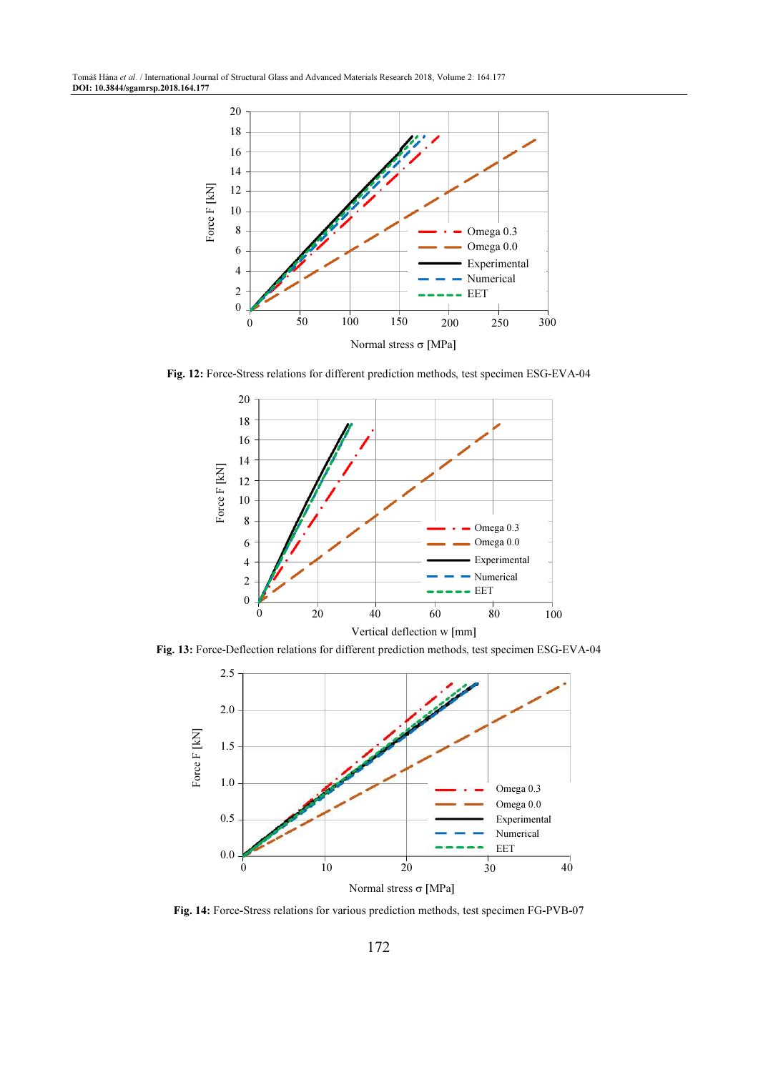Tomáš Hána et al. / International Journal of Structural Glass and Advanced Materials Research 2018, Volume 2: 164.177 DOI: 10.3844/sgamrsp.2018.164.177



Fig. 12: Force-Stress relations for different prediction methods, test specimen ESG-EVA-04



Fig. 13: Force-Deflection relations for different prediction methods, test specimen ESG-EVA-04



Fig. 14: Force-Stress relations for various prediction methods, test specimen FG-PVB-07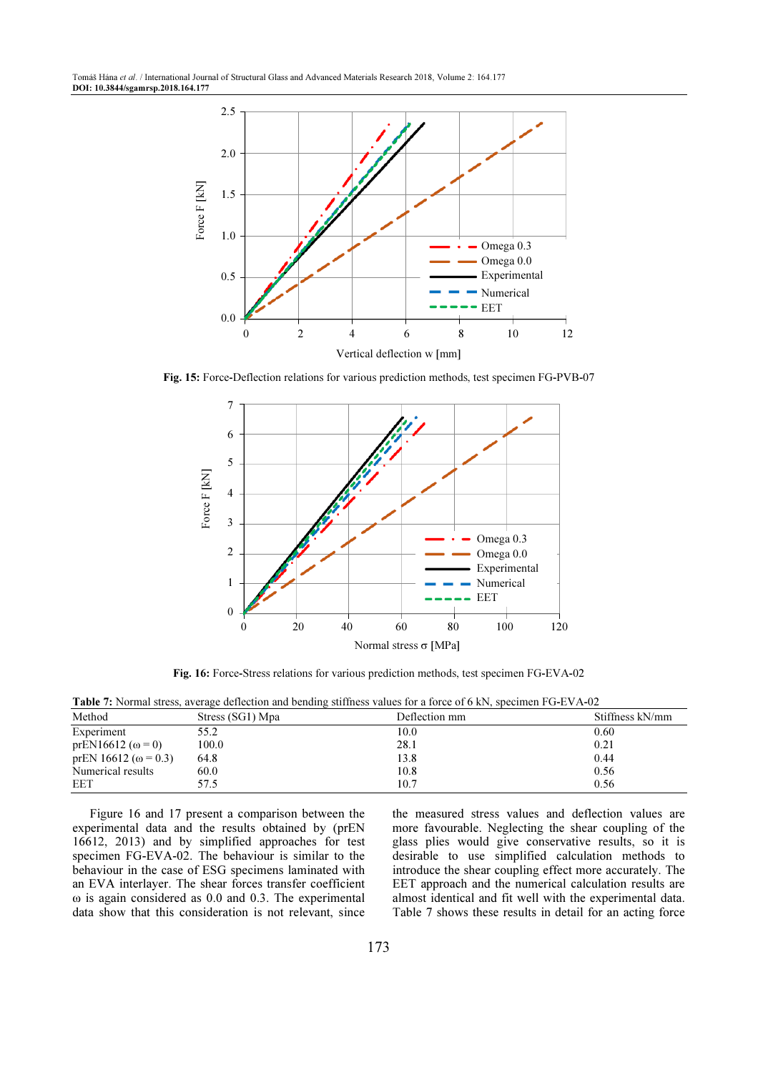Tomáš Hána et al. / International Journal of Structural Glass and Advanced Materials Research 2018, Volume 2: 164.177 DOI: 10.3844/sgamrsp.2018.164.177



Fig. 15: Force-Deflection relations for various prediction methods, test specimen FG-PVB-07



Fig. 16: Force-Stress relations for various prediction methods, test specimen FG-EVA-02

|                              |                  | <b>Table</b> 7. INDITION SUCSS, average delicenting and octioning strifficss values for a force of 0 KP, specifical FO-E VA-02 |                 |
|------------------------------|------------------|--------------------------------------------------------------------------------------------------------------------------------|-----------------|
| Method                       | Stress (SG1) Mpa | Deflection mm                                                                                                                  | Stiffness kN/mm |
| Experiment                   | 55.2             | 10.0                                                                                                                           | 0.60            |
| prEN16612 ( $\omega$ = 0)    | 100.0            | 28.1                                                                                                                           | 0.21            |
| prEN 16612 ( $\omega$ = 0.3) | 64.8             | 13.8                                                                                                                           | 0.44            |
| Numerical results            | 60.0             | 10.8                                                                                                                           | 0.56            |
| EET                          | 57.5             | 10.7                                                                                                                           | 0.56            |

Table 7: Normal stress, average deflection and bending stiffness values for a force of 6 kN, specimen FG-EVA-02

Figure 16 and 17 present a comparison between the experimental data and the results obtained by (prEN 16612, 2013) and by simplified approaches for test specimen FG-EVA-02. The behaviour is similar to the behaviour in the case of ESG specimens laminated with an EVA interlayer. The shear forces transfer coefficient ω is again considered as 0.0 and 0.3. The experimental data show that this consideration is not relevant, since the measured stress values and deflection values are more favourable. Neglecting the shear coupling of the glass plies would give conservative results, so it is desirable to use simplified calculation methods to introduce the shear coupling effect more accurately. The EET approach and the numerical calculation results are almost identical and fit well with the experimental data. Table 7 shows these results in detail for an acting force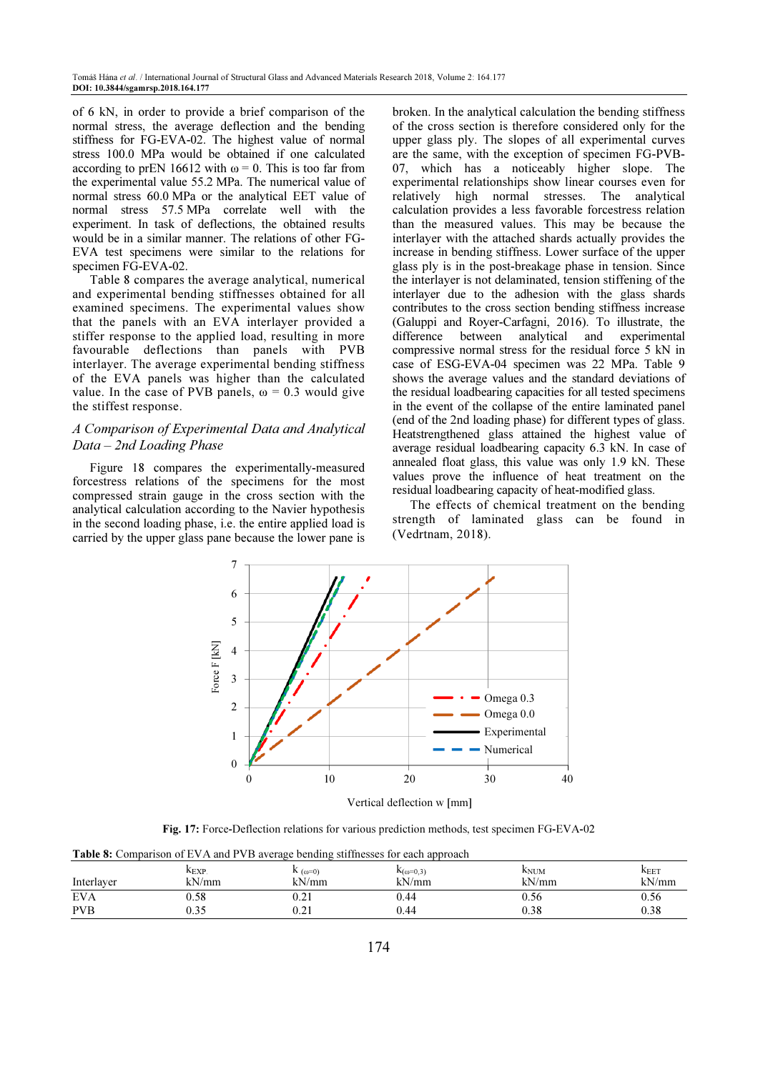of 6 kN, in order to provide a brief comparison of the normal stress, the average deflection and the bending stiffness for FG-EVA-02. The highest value of normal stress 100.0 MPa would be obtained if one calculated according to prEN 16612 with  $\omega = 0$ . This is too far from the experimental value 55.2 MPa. The numerical value of normal stress 60.0 MPa or the analytical EET value of normal stress 57.5 MPa correlate well with the experiment. In task of deflections, the obtained results would be in a similar manner. The relations of other FG-EVA test specimens were similar to the relations for specimen FG-EVA-02.

Table 8 compares the average analytical, numerical and experimental bending stiffnesses obtained for all examined specimens. The experimental values show that the panels with an EVA interlayer provided a stiffer response to the applied load, resulting in more favourable deflections than panels with PVB interlayer. The average experimental bending stiffness of the EVA panels was higher than the calculated value. In the case of PVB panels,  $\omega = 0.3$  would give the stiffest response.

# A Comparison of Experimental Data and Analytical Data – 2nd Loading Phase

Figure 18 compares the experimentally-measured forcestress relations of the specimens for the most compressed strain gauge in the cross section with the analytical calculation according to the Navier hypothesis in the second loading phase, i.e. the entire applied load is carried by the upper glass pane because the lower pane is

broken. In the analytical calculation the bending stiffness of the cross section is therefore considered only for the upper glass ply. The slopes of all experimental curves are the same, with the exception of specimen FG-PVB-07, which has a noticeably higher slope. The experimental relationships show linear courses even for relatively high normal stresses. The analytical calculation provides a less favorable forcestress relation than the measured values. This may be because the interlayer with the attached shards actually provides the increase in bending stiffness. Lower surface of the upper glass ply is in the post-breakage phase in tension. Since the interlayer is not delaminated, tension stiffening of the interlayer due to the adhesion with the glass shards contributes to the cross section bending stiffness increase (Galuppi and Royer-Carfagni, 2016). To illustrate, the difference between analytical and experimental compressive normal stress for the residual force 5 kN in case of ESG-EVA-04 specimen was 22 MPa. Table 9 shows the average values and the standard deviations of the residual loadbearing capacities for all tested specimens in the event of the collapse of the entire laminated panel (end of the 2nd loading phase) for different types of glass. Heatstrengthened glass attained the highest value of average residual loadbearing capacity 6.3 kN. In case of annealed float glass, this value was only 1.9 kN. These values prove the influence of heat treatment on the residual loadbearing capacity of heat-modified glass.

The effects of chemical treatment on the bending strength of laminated glass can be found in (Vedrtnam, 2018).



Vertical deflection w [mm]

Fig. 17: Force-Deflection relations for various prediction methods, test specimen FG-EVA-02

Table 8: Comparison of EVA and PVB average bending stiffnesses for each approach

| Interlayer               | $K_{EXP}$              | $\mathbf{r}$ ( $\omega$ =0)      | $N_{(0=0,3)}$ | $K_{\text{NUM}}$ | $K_{\text{EET}}$ |
|--------------------------|------------------------|----------------------------------|---------------|------------------|------------------|
|                          | kN/mm                  | kN/mm                            | kN/mm         | kN/mm            | kN/mm            |
| <b>EVA</b><br><b>PVB</b> | 0.58<br>$\eta$<br>U.SJ | 0.21<br>$\sim$ $\sim$ 1<br>U.∠ I | 0.44<br>0.44  | 0.56<br>0.38     | 0.56<br>0.38     |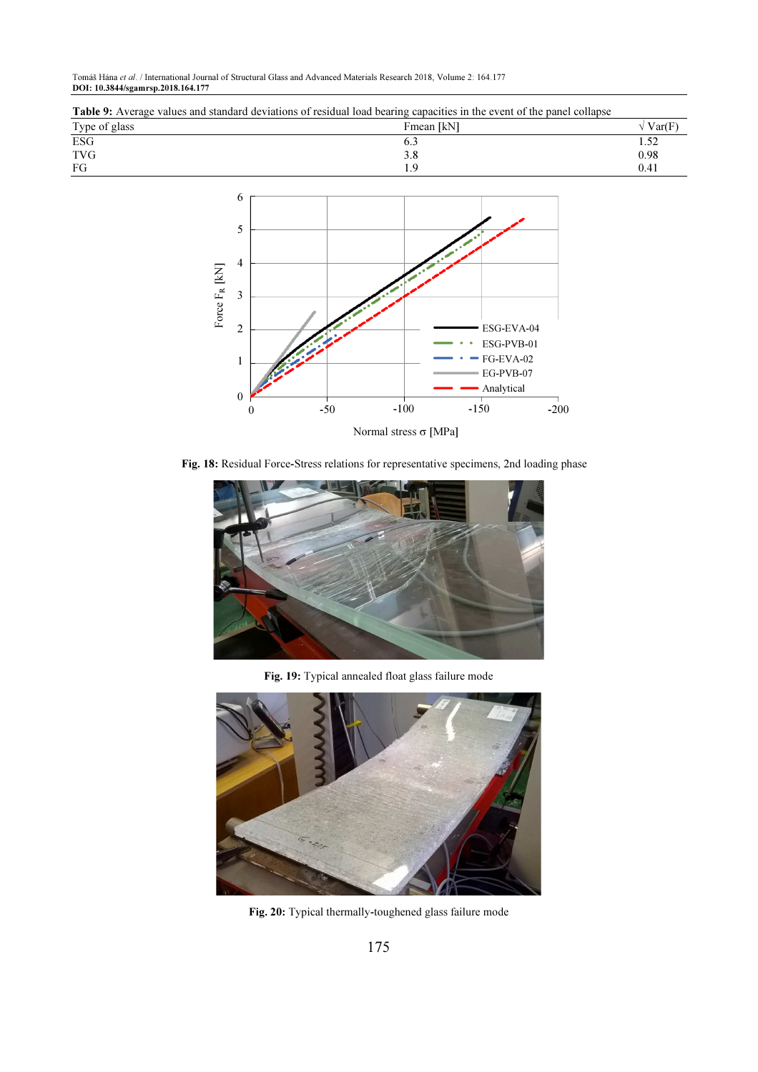Tomáš Hána et al. / International Journal of Structural Glass and Advanced Materials Research 2018, Volume 2: 164.177 DOI: 10.3844/sgamrsp.2018.164.177

| <b>Table 9:</b> Average values and standard deviations of residual load bearing capacities in the event of the panel collapse |            |         |  |
|-------------------------------------------------------------------------------------------------------------------------------|------------|---------|--|
| Type of glass                                                                                                                 | Fmean [kN] | / Var(F |  |
| ESG                                                                                                                           |            |         |  |
| <b>TVG</b>                                                                                                                    |            | 0.98    |  |
| FG                                                                                                                            |            | 0.41    |  |
|                                                                                                                               |            |         |  |



Fig. 18: Residual Force-Stress relations for representative specimens, 2nd loading phase



Fig. 19: Typical annealed float glass failure mode



Fig. 20: Typical thermally-toughened glass failure mode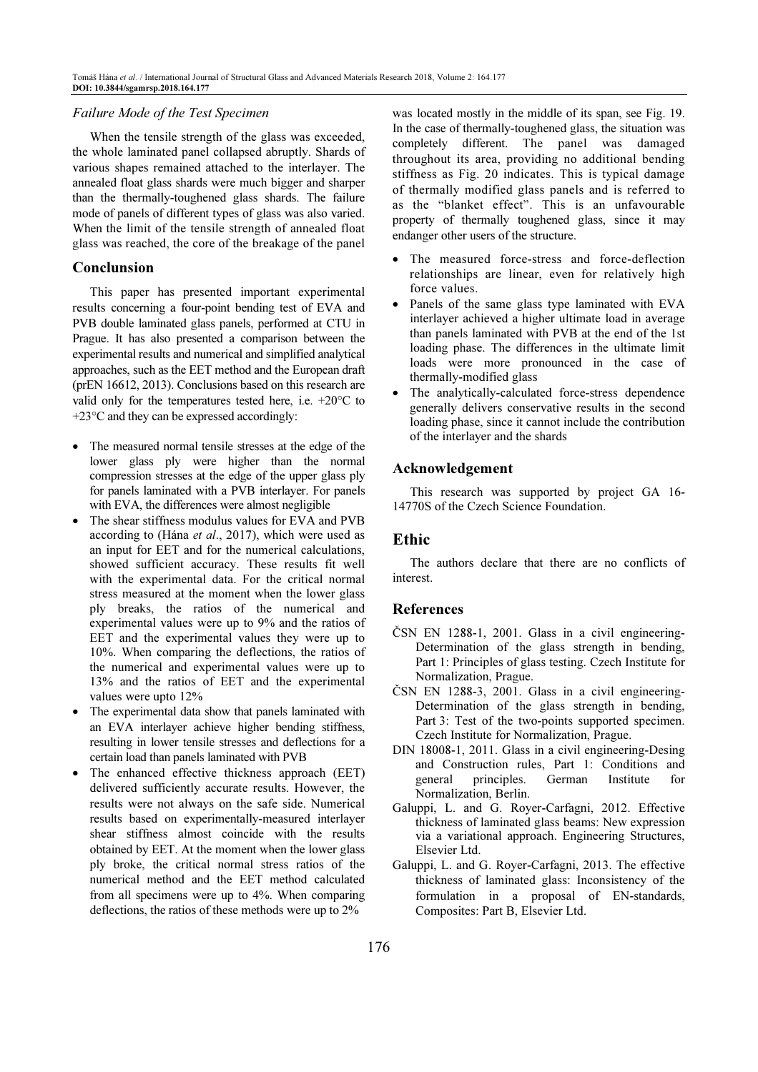## Failure Mode of the Test Specimen

When the tensile strength of the glass was exceeded, the whole laminated panel collapsed abruptly. Shards of various shapes remained attached to the interlayer. The annealed float glass shards were much bigger and sharper than the thermally-toughened glass shards. The failure mode of panels of different types of glass was also varied. When the limit of the tensile strength of annealed float glass was reached, the core of the breakage of the panel

#### Conclunsion

This paper has presented important experimental results concerning a four-point bending test of EVA and PVB double laminated glass panels, performed at CTU in Prague. It has also presented a comparison between the experimental results and numerical and simplified analytical approaches, such as the EET method and the European draft (prEN 16612, 2013). Conclusions based on this research are valid only for the temperatures tested here, i.e.  $+20^{\circ}$ C to +23°C and they can be expressed accordingly:

- The measured normal tensile stresses at the edge of the lower glass ply were higher than the normal compression stresses at the edge of the upper glass ply for panels laminated with a PVB interlayer. For panels with EVA, the differences were almost negligible
- The shear stiffness modulus values for EVA and PVB according to (Hána et al., 2017), which were used as an input for EET and for the numerical calculations, showed sufficient accuracy. These results fit well with the experimental data. For the critical normal stress measured at the moment when the lower glass ply breaks, the ratios of the numerical and experimental values were up to 9% and the ratios of EET and the experimental values they were up to 10%. When comparing the deflections, the ratios of the numerical and experimental values were up to 13% and the ratios of EET and the experimental values were upto 12%
- The experimental data show that panels laminated with an EVA interlayer achieve higher bending stiffness, resulting in lower tensile stresses and deflections for a certain load than panels laminated with PVB
- The enhanced effective thickness approach (EET) delivered sufficiently accurate results. However, the results were not always on the safe side. Numerical results based on experimentally-measured interlayer shear stiffness almost coincide with the results obtained by EET. At the moment when the lower glass ply broke, the critical normal stress ratios of the numerical method and the EET method calculated from all specimens were up to 4%. When comparing deflections, the ratios of these methods were up to 2%

was located mostly in the middle of its span, see Fig. 19. In the case of thermally-toughened glass, the situation was completely different. The panel was damaged throughout its area, providing no additional bending stiffness as Fig. 20 indicates. This is typical damage of thermally modified glass panels and is referred to as the "blanket effect". This is an unfavourable property of thermally toughened glass, since it may endanger other users of the structure.

- The measured force-stress and force-deflection relationships are linear, even for relatively high force values.
- Panels of the same glass type laminated with EVA interlayer achieved a higher ultimate load in average than panels laminated with PVB at the end of the 1st loading phase. The differences in the ultimate limit loads were more pronounced in the case of thermally-modified glass
- The analytically-calculated force-stress dependence generally delivers conservative results in the second loading phase, since it cannot include the contribution of the interlayer and the shards

## Acknowledgement

This research was supported by project GA 16- 14770S of the Czech Science Foundation.

# Ethic

The authors declare that there are no conflicts of interest.

## References

- ČSN EN 1288-1, 2001. Glass in a civil engineering-Determination of the glass strength in bending, Part 1: Principles of glass testing. Czech Institute for Normalization, Prague.
- ČSN EN 1288-3, 2001. Glass in a civil engineering-Determination of the glass strength in bending, Part 3: Test of the two-points supported specimen. Czech Institute for Normalization, Prague.
- DIN 18008-1, 2011. Glass in a civil engineering-Desing and Construction rules, Part 1: Conditions and general principles. German Institute for Normalization, Berlin.
- Galuppi, L. and G. Royer-Carfagni, 2012. Effective thickness of laminated glass beams: New expression via a variational approach. Engineering Structures, Elsevier Ltd.
- Galuppi, L. and G. Royer-Carfagni, 2013. The effective thickness of laminated glass: Inconsistency of the formulation in a proposal of EN-standards, Composites: Part B, Elsevier Ltd.